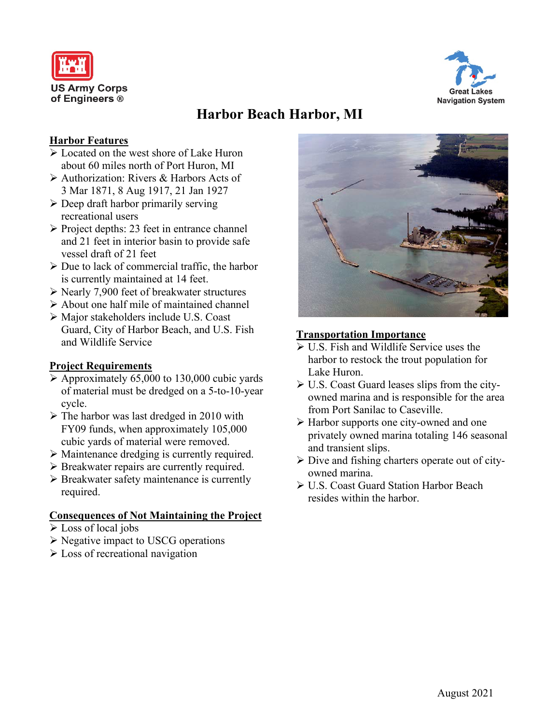



# **Harbor Beach Harbor, MI**

#### **Harbor Features**

- $\geq 1$  ocated on the west shore of Lake Huron about 60 miles north of Port Huron, MI
- Authorization: Rivers & Harbors Acts of 3 Mar 1871, 8 Aug 1917, 21 Jan 1927
- $\triangleright$  Deep draft harbor primarily serving recreational users
- $\triangleright$  Project depths: 23 feet in entrance channel and 21 feet in interior basin to provide safe vessel draft of 21 feet
- $\triangleright$  Due to lack of commercial traffic, the harbor is currently maintained at 14 feet.
- $\triangleright$  Nearly 7,900 feet of breakwater structures
- $\triangleright$  About one half mile of maintained channel
- Major stakeholders include U.S. Coast Guard, City of Harbor Beach, and U.S. Fish and Wildlife Service

## **Project Requirements**

- $\triangleright$  Approximately 65,000 to 130,000 cubic vards of material must be dredged on a 5-to-10-year cycle.
- The harbor was last dredged in 2010 with FY09 funds, when approximately 105,000 cubic yards of material were removed.
- Maintenance dredging is currently required.
- $\triangleright$  Breakwater repairs are currently required.
- $\triangleright$  Breakwater safety maintenance is currently required.

#### **Consequences of Not Maintaining the Project**

- Loss of local jobs
- $\triangleright$  Negative impact to USCG operations
- **Exercise** Loss of recreational navigation



## **Transportation Importance**

- U.S. Fish and Wildlife Service uses the harbor to restock the trout population for Lake Huron.
- $\triangleright$  U.S. Coast Guard leases slips from the cityowned marina and is responsible for the area from Port Sanilac to Caseville.
- Harbor supports one city-owned and one privately owned marina totaling 146 seasonal and transient slips.
- $\triangleright$  Dive and fishing charters operate out of cityowned marina.
- U.S. Coast Guard Station Harbor Beach resides within the harbor.